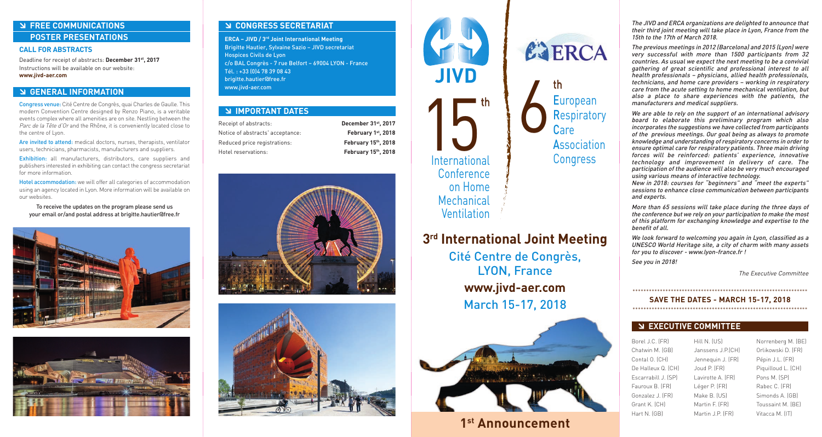# - **FREE COMMUNICATIONS POSTER PRESENTATIONS**

### **CALL FOR ABSTRACTS**

Deadline for receipt of abstracts: **December 31st, 2017** Instructions will be available on our website: **www.jivd-aer.com**

# **S GENERAL INFORMATION**

Congress venue: Cité Centre de Congrès, quai Charles de Gaulle. This modern Convention Centre designed by Renzo Piano, is a veritable events complex where all amenities are on site. Nestling between the Parc de la Tête d'Or and the Rhône, it is conveniently located close to the centre of Lyon.

Are invited to attend: medical doctors, nurses, therapists, ventilator users, technicians, pharmacists, manufacturers and suppliers.

Exhibition: all manufacturers, distributors, care suppliers and publishers interested in exhibiting can contact the congress secretariat for more information.

Hotel accommodation: we will offer all categories of accommodation using an agency located in Lyon. More information will be available on our websites.

To receive the updates on the program please send us your email or/and postal address at brigitte.hautier@free.fr





# - **CONGRESS SECRETARIAT**

**ERCA – JIVD / 3rd Joint International Meeting** Brigitte Hautier, Sylvaine Sazio – JIVD secretariat Hospices Civils de Lyon c/o BAL Congrès - 7 rue Belfort – 69004 LYON - France Tél. : +33 (0)4 78 39 08 43 brigitte.hautier@free.fr www.jivd-aer.com

| <b>EXAMPORTANT DATES</b>         |                     |
|----------------------------------|---------------------|
| Receipt of abstracts:            | December 31st, 2017 |
| Notice of abstracts' acceptance: | February 1st, 2018  |
| Reduced price registrations:     | February 15th, 2018 |
| Hotel reservations:              | February 15th, 2018 |







**3rd International Joint Meeting** Cité Centre de Congrès, LYON, France **www.jivd-aer.com** March 15-17, 2018

6

th

EJERCA

European

Care

**Respiratory** 

**Association** 

**Congress** 



**1st Announcement**

The JIVD and ERCA organizations are delighted to announce that their third joint meeting will take place in Lyon, France from the 15th to the 17th of March 2018.

The previous meetings in 2012 (Barcelona) and 2015 (Lyon) were very successful with more than 1500 participants from 32 countries. As usual we expect the next meeting to be a convivial gathering of great scientific and professional interest to all health professionals – physicians, allied health professionals, technicians, and home care providers – working in respiratory care from the acute setting to home mechanical ventilation, but also a place to share experiences with the patients, the manufacturers and medical suppliers.

We are able to rely on the support of an international advisory board to elaborate this preliminary program which also incorporates the suggestions we have collected from participants of the previous meetings. Our goal being as always to promote knowledge and understanding of respiratory concerns in order to ensure optimal care for respiratory patients. Three main driving forces will be reinforced: patients' experience, innovative technology and improvement in delivery of care. The participation of the audience will also be very much encouraged using various means of interactive technology.

New in 2018: courses for "beginners" and "meet the experts" sessions to enhance close communication between participants and experts.

More than 65 sessions will take place during the three days of the conference but we rely on your participation to make the most of this platform for exchanging knowledge and expertise to the benefit of all.

We look forward to welcoming you again in Lyon, classified as a UNESCO World Heritage site, a city of charm with many assets for you to discover - www.lyon-france.fr !

See you in 2018!

The Executive Committee

## \*\*\*\*\*\*\*\*\*\*\*\*\*\*\*\*\*\*\*\*\*\*\*\*\*\*\*\*\*\*\*\*\*\*\*\*\*\*\*\*\*\*\*\*\*\*\*\*\*\*\*\*\*\*\*\*\*\*\*\*\*\*\*\* **SAVE THE DATES - MARCH 15-17, 2018**

\*\*\*\*\*\*\*\*\*\*\*\*\*\*\*\*\*\*\*\*\*\*\*\*\*\*\*\*\*\*\*\*\*\*\*\*\*\*\*\*\*\*\*\*\*\*\*\*\*\*\*\*\*\*\*\*\*\*\*\*\*\*\*\*

# **EXECUTIVE COMMITTEE**

| Borel J.C. (FR)     | Hill N. (US)      | Norrenberg M. (BE) |
|---------------------|-------------------|--------------------|
| Chatwin M. (GB)     | Janssens J.P.(CH) | Orlikowski D. (FR) |
| Contal O. (CH)      | Jennequin J. (FR) | Pépin J.L. (FR)    |
| De Halleux Q. (CH)  | Joud P. (FR)      | Piguilloud L. (CH) |
| Escarrabill J. (SP) | Lavirotte A. (FR) | Pons M. (SP)       |
| Fauroux B. (FR)     | Léger P. (FR)     | Rabec C. (FR)      |
| Gonzalez J. (FR)    | Make B. (US)      | Simonds A. (GB)    |
| Grant K. (CH)       | Martin F. (FR)    | Toussaint M. (BE)  |
| Hart N. (GB)        | Martin J.P. (FR)  | Vitacca M. (IT)    |